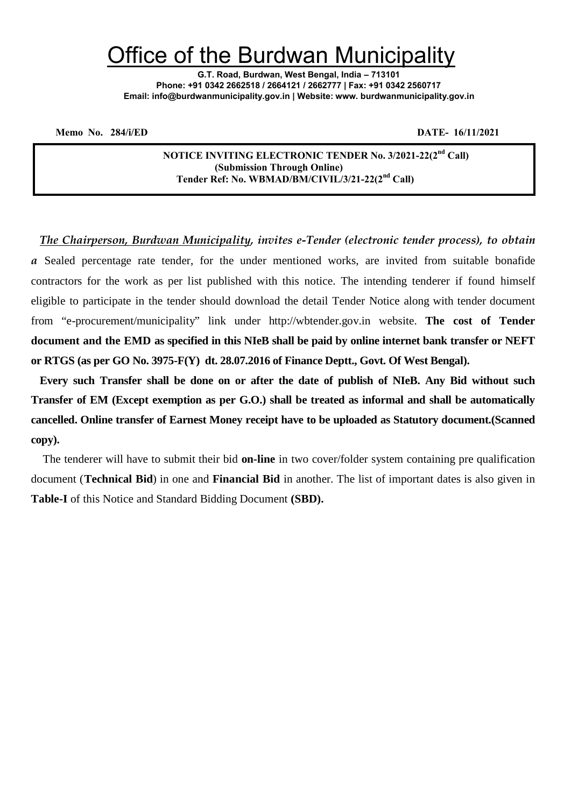# Office of the Burdwan Municipality

**G.T. Road, Burdwan, West Bengal, India – 713101 Phone: +91 0342 2662518 / 2664121 / 2662777 | Fax: +91 0342 2560717 Email: info@burdwanmunicipality.gov.in | Website: www. burdwanmunicipality.gov.in**

**Memo No. 284/i/ED DATE- 16/11/2021**

**NOTICE INVITING ELECTRONIC TENDER No. 3/2021-22(2nd Call) (Submission Through Online) Tender Ref: No. WBMAD/BM/CIVIL/3/21-22(2nd Call)**

*The Chairperson, Burdwan Municipality, invites e-Tender (electronic tender process), to obtain a* Sealed percentage rate tender, for the under mentioned works, are invited from suitable bonafide contractors for the work as per list published with this notice. The intending tenderer if found himself eligible to participate in the tender should download the detail Tender Notice along with tender document from "e-procurement/municipality" link under http://wbtender.gov.in website. **The cost of Tender document and the EMD as specified in this NIeB shall be paid by online internet bank transfer or NEFT or RTGS (as per GO No. 3975-F(Y) dt. 28.07.2016 of Finance Deptt., Govt. Of West Bengal).**

**Every such Transfer shall be done on or after the date of publish of NIeB. Any Bid without such Transfer of EM (Except exemption as per G.O.) shall be treated as informal and shall be automatically cancelled. Online transfer of Earnest Money receipt have to be uploaded as Statutory document.(Scanned copy).**

The tenderer will have to submit their bid **on-line** in two cover/folder system containing pre qualification document (**Technical Bid**) in one and **Financial Bid** in another. The list of important dates is also given in **Table-I** of this Notice and Standard Bidding Document **(SBD).**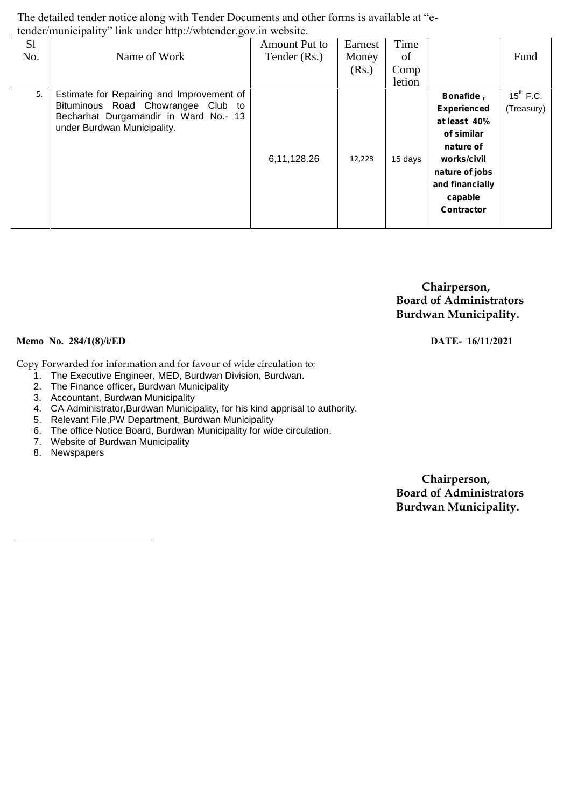The detailed tender notice along with Tender Documents and other forms is available at "etender/municipality" link under http://wbtender.gov.in website.

| S <sub>1</sub><br>No. | Name of Work                                                                                                                                            | Amount Put to<br>Tender (Rs.) | Earnest<br>Money<br>(Rs.) | Time<br>of<br>Comp |                                                                                                                                                                | Fund                         |
|-----------------------|---------------------------------------------------------------------------------------------------------------------------------------------------------|-------------------------------|---------------------------|--------------------|----------------------------------------------------------------------------------------------------------------------------------------------------------------|------------------------------|
|                       |                                                                                                                                                         |                               |                           | letion             |                                                                                                                                                                |                              |
| 5.                    | Estimate for Repairing and Improvement of<br>Bituminous Road Chowrangee Club to<br>Becharhat Durgamandir in Ward No.- 13<br>under Burdwan Municipality. | 6,11,128.26                   | 12,223                    | 15 days            | Bonafide,<br><b>Experienced</b><br>at least 40%<br>of similar<br>nature of<br>works/civil<br>nature of jobs<br>and financially<br>capable<br><b>Contractor</b> | $15^{th}$ F.C.<br>(Treasury) |

**Chairperson, Board of Administrators Burdwan Municipality.**

#### **Memo No. 284/1(8)/i/ED DATE- 16/11/2021**

Copy Forwarded for information and for favour of wide circulation to:

- 1. The Executive Engineer, MED, Burdwan Division, Burdwan.
- 2. The Finance officer, Burdwan Municipality
- 3. Accountant, Burdwan Municipality
- 4. CA Administrator,Burdwan Municipality, for his kind apprisal to authority.
- 5. Relevant File,PW Department, Burdwan Municipality
- 6. The office Notice Board, Burdwan Municipality for wide circulation.
- 7. Website of Burdwan Municipality
- 8. Newspapers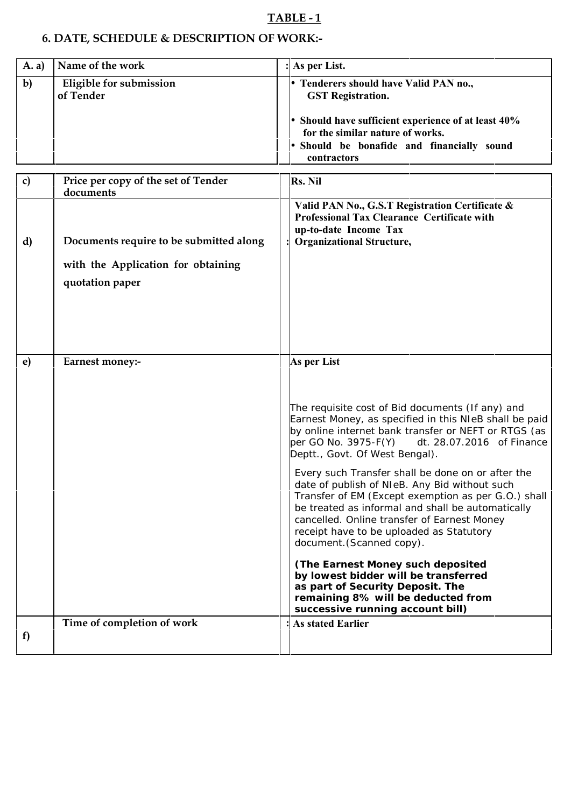# **TABLE - 1**

# **6. DATE, SCHEDULE & DESCRIPTION OF WORK:-**

| (A, a)       | Name of the work                     | : As per List.                                                                                                                                                                                                       |  |
|--------------|--------------------------------------|----------------------------------------------------------------------------------------------------------------------------------------------------------------------------------------------------------------------|--|
| $\mathbf{b}$ | Eligible for submission<br>of Tender | Tenderers should have Valid PAN no.,<br><b>GST Registration.</b><br>Should have sufficient experience of at least 40%<br>for the similar nature of works.<br>Should be bonafide and financially sound<br>contractors |  |

| $\mathbf{c}$ | Price per copy of the set of Tender<br>documents                                                 | Rs. Nil                                                                                                                                                                                                                                                                                                                                                                                                                                                                                                                                                                                                                                                                                                                                                                                                       |
|--------------|--------------------------------------------------------------------------------------------------|---------------------------------------------------------------------------------------------------------------------------------------------------------------------------------------------------------------------------------------------------------------------------------------------------------------------------------------------------------------------------------------------------------------------------------------------------------------------------------------------------------------------------------------------------------------------------------------------------------------------------------------------------------------------------------------------------------------------------------------------------------------------------------------------------------------|
| d)           | Documents require to be submitted along<br>with the Application for obtaining<br>quotation paper | Valid PAN No., G.S.T Registration Certificate &<br>Professional Tax Clearance Certificate with<br>up-to-date Income Tax<br><b>Organizational Structure,</b>                                                                                                                                                                                                                                                                                                                                                                                                                                                                                                                                                                                                                                                   |
| e)           | Earnest money:-                                                                                  | As per List<br>The requisite cost of Bid documents (If any) and<br>Earnest Money, as specified in this NIeB shall be paid<br>by online internet bank transfer or NEFT or RTGS (as<br>per GO No. 3975-F(Y)<br>dt. 28.07.2016 of Finance<br>Deptt., Govt. Of West Bengal).<br>Every such Transfer shall be done on or after the<br>date of publish of NIeB. Any Bid without such<br>Transfer of EM (Except exemption as per G.O.) shall<br>be treated as informal and shall be automatically<br>cancelled. Online transfer of Earnest Money<br>receipt have to be uploaded as Statutory<br>document. (Scanned copy).<br>(The Earnest Money such deposited<br>by lowest bidder will be transferred<br>as part of Security Deposit. The<br>remaining 8% will be deducted from<br>successive running account bill) |
| f)           | Time of completion of work                                                                       | <b>As stated Earlier</b>                                                                                                                                                                                                                                                                                                                                                                                                                                                                                                                                                                                                                                                                                                                                                                                      |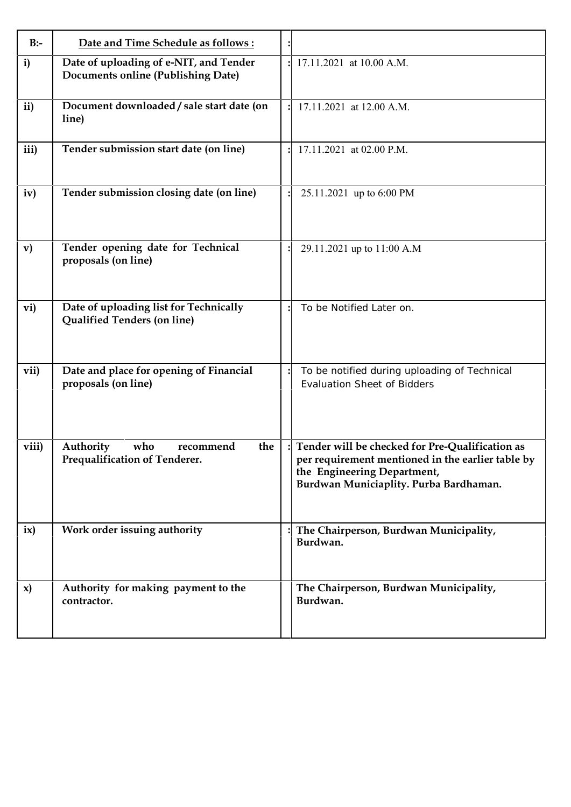| $B$ :-        | Date and Time Schedule as follows:                                                  |                                                                                                                                                                               |
|---------------|-------------------------------------------------------------------------------------|-------------------------------------------------------------------------------------------------------------------------------------------------------------------------------|
| i)            | Date of uploading of e-NIT, and Tender<br><b>Documents online (Publishing Date)</b> | 17.11.2021 at 10.00 A.M.                                                                                                                                                      |
| ii)           | Document downloaded / sale start date (on<br>line)                                  | 17.11.2021 at 12.00 A.M.                                                                                                                                                      |
| iii)          | Tender submission start date (on line)                                              | 17.11.2021 at 02.00 P.M.                                                                                                                                                      |
| iv)           | Tender submission closing date (on line)                                            | 25.11.2021 up to 6:00 PM                                                                                                                                                      |
| $\mathbf{v})$ | Tender opening date for Technical<br>proposals (on line)                            | 29.11.2021 up to 11:00 A.M                                                                                                                                                    |
| vi)           | Date of uploading list for Technically<br>Qualified Tenders (on line)               | To be Notified Later on.                                                                                                                                                      |
| vii)          | Date and place for opening of Financial<br>proposals (on line)                      | To be notified during uploading of Technical<br><b>Evaluation Sheet of Bidders</b>                                                                                            |
| viii)         | Authority<br>who<br>recommend<br>the<br>Prequalification of Tenderer.               | Tender will be checked for Pre-Qualification as<br>per requirement mentioned in the earlier table by<br>the Engineering Department,<br>Burdwan Municiaplity. Purba Bardhaman. |
| ix)           | Work order issuing authority                                                        | The Chairperson, Burdwan Municipality,<br>Burdwan.                                                                                                                            |
| $\mathbf{x}$  | Authority for making payment to the<br>contractor.                                  | The Chairperson, Burdwan Municipality,<br>Burdwan.                                                                                                                            |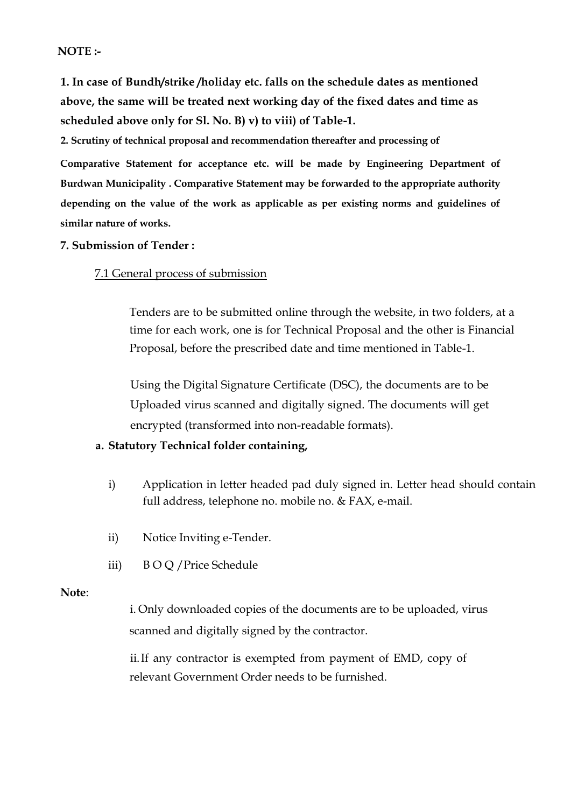### **NOTE :-**

**1. In case of Bundh/strike /holiday etc. falls on the schedule dates as mentioned above, the same will be treated next working day of the fixed dates and time as scheduled above only for Sl. No. B) v) to viii) of Table-1.**

**2. Scrutiny of technical proposal and recommendation thereafter and processing of**

**Comparative Statement for acceptance etc. will be made by Engineering Department of Burdwan Municipality . Comparative Statement may be forwarded to the appropriate authority depending on the value of the work as applicable as per existing norms and guidelines of similar nature of works.**

#### **7. Submission of Tender :**

#### 7.1 General process of submission

Tenders are to be submitted online through the website, in two folders, at a time for each work, one is for Technical Proposal and the other is Financial Proposal, before the prescribed date and time mentioned in Table-1.

Using the Digital Signature Certificate (DSC), the documents are to be Uploaded virus scanned and digitally signed. The documents will get encrypted (transformed into non-readable formats).

#### **a. Statutory Technical folder containing,**

- i) Application in letter headed pad duly signed in. Letter head should contain full address, telephone no. mobile no. & FAX, e-mail.
- ii) Notice Inviting e-Tender.
- iii) B O Q /Price Schedule

#### **Note**:

i. Only downloaded copies of the documents are to be uploaded, virus scanned and digitally signed by the contractor.

ii.If any contractor is exempted from payment of EMD, copy of relevant Government Order needs to be furnished.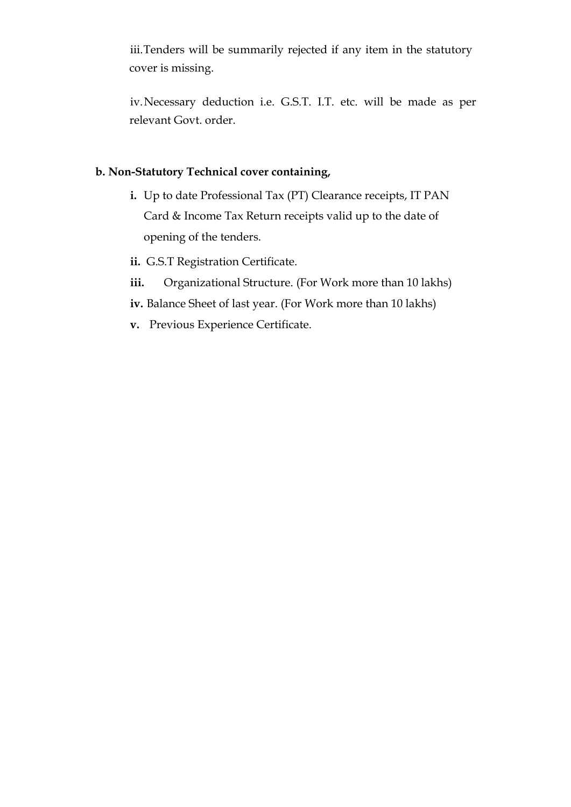iii.Tenders will be summarily rejected if any item in the statutory cover is missing.

iv.Necessary deduction i.e. G.S.T. I.T. etc. will be made as per relevant Govt. order.

#### **b. Non-Statutory Technical cover containing,**

- **i.** Up to date Professional Tax (PT) Clearance receipts, IT PAN Card & Income Tax Return receipts valid up to the date of opening of the tenders.
- **ii.** G.S.T Registration Certificate.
- iii. Organizational Structure. (For Work more than 10 lakhs)
- **iv.** Balance Sheet of last year. (For Work more than 10 lakhs)
- **v.** Previous Experience Certificate.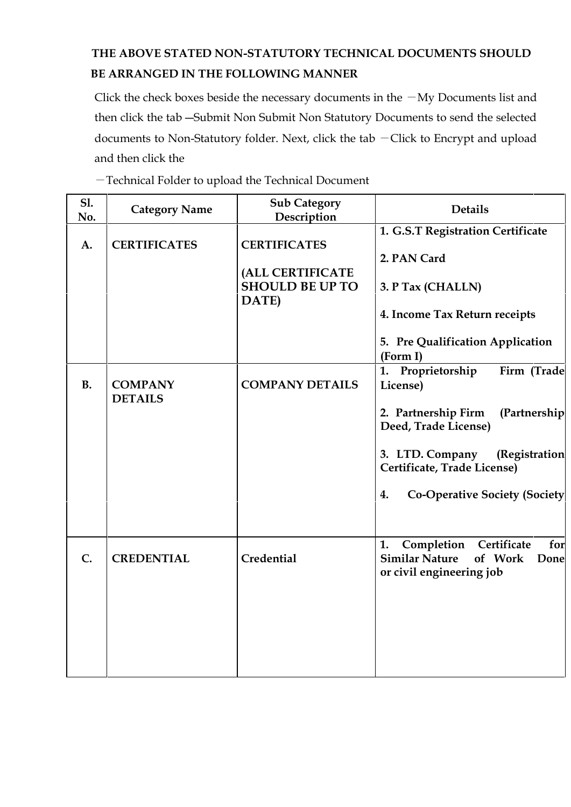# **THE ABOVE STATED NON-STATUTORY TECHNICAL DOCUMENTS SHOULD BE ARRANGED IN THE FOLLOWING MANNER**

Click the check boxes beside the necessary documents in the  $-My$  Documents list and then click the tab ―Submit Non Submit Non Statutory Documents to send the selected documents to Non-Statutory folder. Next, click the tab ―Click to Encrypt and upload and then click the

―Technical Folder to upload the Technical Document

| <b>S1.</b><br>No. | <b>Category Name</b>             | <b>Sub Category</b><br>Description                                         | <b>Details</b>                                                                                                 |  |
|-------------------|----------------------------------|----------------------------------------------------------------------------|----------------------------------------------------------------------------------------------------------------|--|
| A.                | <b>CERTIFICATES</b>              | <b>CERTIFICATES</b><br>(ALL CERTIFICATE<br><b>SHOULD BE UP TO</b><br>DATE) | 1. G.S.T Registration Certificate<br>2. PAN Card<br>3. P Tax (CHALLN)<br>4. Income Tax Return receipts         |  |
|                   |                                  |                                                                            | 5. Pre Qualification Application<br>(Form I)                                                                   |  |
| <b>B.</b>         | <b>COMPANY</b><br><b>DETAILS</b> | <b>COMPANY DETAILS</b>                                                     | 1. Proprietorship<br>Firm (Trade<br>License)                                                                   |  |
|                   |                                  |                                                                            | 2. Partnership Firm<br>(Partnership<br>Deed, Trade License)                                                    |  |
|                   |                                  |                                                                            | 3. LTD. Company<br>(Registration<br>Certificate, Trade License)                                                |  |
|                   |                                  |                                                                            | 4.<br><b>Co-Operative Society (Society</b>                                                                     |  |
| C.                | <b>CREDENTIAL</b>                | Credential                                                                 | Certificate<br>1.<br>Completion<br>for<br><b>Similar Nature</b><br>of Work<br>Done<br>or civil engineering job |  |
|                   |                                  |                                                                            |                                                                                                                |  |
|                   |                                  |                                                                            |                                                                                                                |  |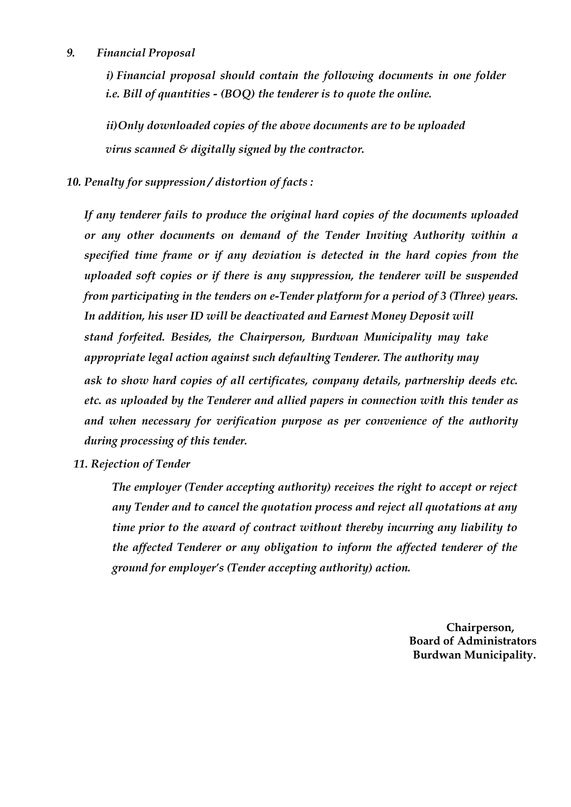#### *9. Financial Proposal*

*i) Financial proposal should contain the following documents in one folder i.e. Bill of quantities - (BOQ) the tenderer is to quote the online.*

*ii)Only downloaded copies of the above documents are to be uploaded virus scanned & digitally signed by the contractor.*

*10. Penalty for suppression / distortion of facts :*

*If any tenderer fails to produce the original hard copies of the documents uploaded or any other documents on demand of the Tender Inviting Authority within a specified time frame or if any deviation is detected in the hard copies from the uploaded soft copies or if there is any suppression, the tenderer will be suspended from participating in the tenders on e-Tender platform for a period of 3 (Three) years. In addition, his user ID will be deactivated and Earnest Money Deposit will stand forfeited. Besides, the Chairperson, Burdwan Municipality may take appropriate legal action against such defaulting Tenderer. The authority may ask to show hard copies of all certificates, company details, partnership deeds etc. etc. as uploaded by the Tenderer and allied papers in connection with this tender as and when necessary for verification purpose as per convenience of the authority during processing of this tender.*

#### *11. Rejection of Tender*

*The employer (Tender accepting authority) receives the right to accept or reject any Tender and to cancel the quotation process and reject all quotations at any time prior to the award of contract without thereby incurring any liability to the affected Tenderer or any obligation to inform the affected tenderer of the ground for employer's (Tender accepting authority) action.*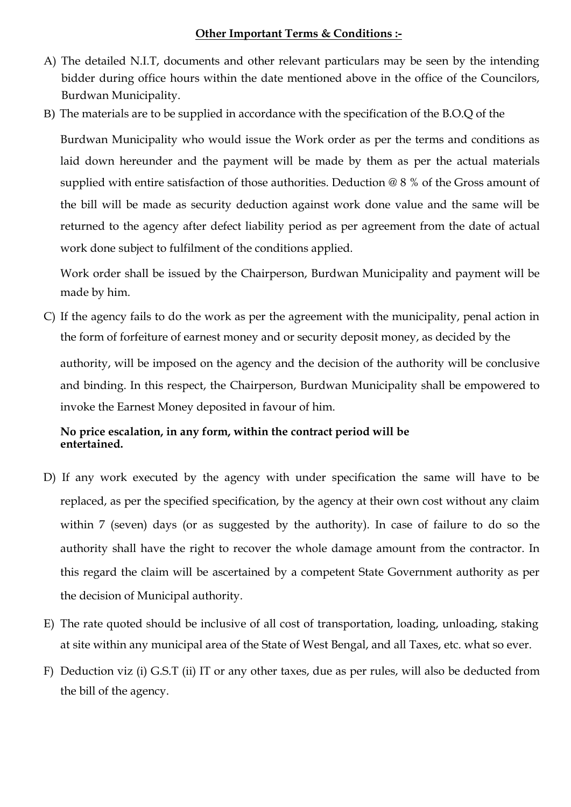### **Other Important Terms & Conditions :-**

- A) The detailed N.I.T, documents and other relevant particulars may be seen by the intending bidder during office hours within the date mentioned above in the office of the Councilors, Burdwan Municipality.
- B) The materials are to be supplied in accordance with the specification of the B.O.Q of the

Burdwan Municipality who would issue the Work order as per the terms and conditions as laid down hereunder and the payment will be made by them as per the actual materials supplied with entire satisfaction of those authorities. Deduction @ 8 % of the Gross amount of the bill will be made as security deduction against work done value and the same will be returned to the agency after defect liability period as per agreement from the date of actual work done subject to fulfilment of the conditions applied.

Work order shall be issued by the Chairperson, Burdwan Municipality and payment will be made by him.

C) If the agency fails to do the work as per the agreement with the municipality, penal action in the form of forfeiture of earnest money and or security deposit money, as decided by the

authority, will be imposed on the agency and the decision of the authority will be conclusive and binding. In this respect, the Chairperson, Burdwan Municipality shall be empowered to invoke the Earnest Money deposited in favour of him.

# **No price escalation, in any form, within the contract period will be entertained.**

- D) If any work executed by the agency with under specification the same will have to be replaced, as per the specified specification, by the agency at their own cost without any claim within 7 (seven) days (or as suggested by the authority). In case of failure to do so the authority shall have the right to recover the whole damage amount from the contractor. In this regard the claim will be ascertained by a competent State Government authority as per the decision of Municipal authority.
- E) The rate quoted should be inclusive of all cost of transportation, loading, unloading, staking at site within any municipal area of the State of West Bengal, and all Taxes, etc. what so ever.
- F) Deduction viz (i) G.S.T (ii) IT or any other taxes, due as per rules, will also be deducted from the bill of the agency.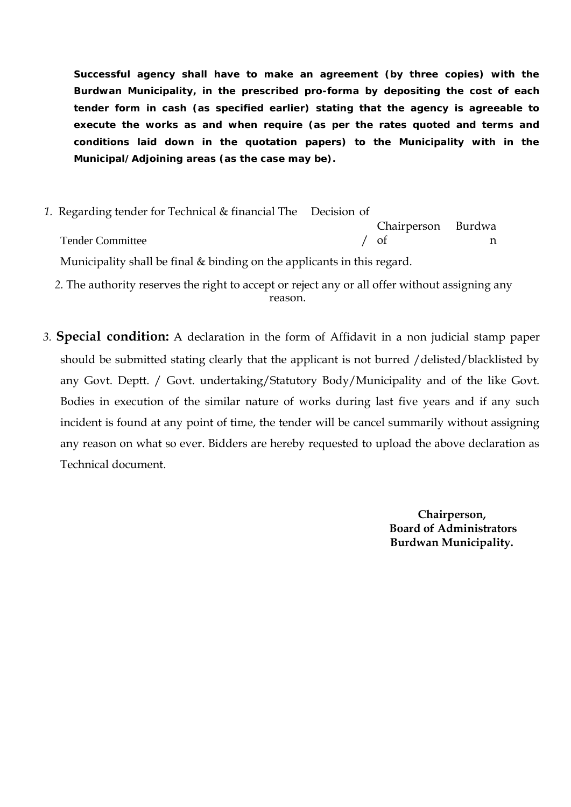**Successful agency shall have to make an agreement (by three copies) with the Burdwan Municipality, in the prescribed pro-forma by depositing the cost of each tender form in cash (as specified earlier) stating that the agency is agreeable to execute the works as and when require (as per the rates quoted and terms and conditions laid down in the quotation papers) to the Municipality with in the Municipal/Adjoining areas (as the case may be).**

- *1.* Regarding tender for Technical & financial The Decision of Tender Committee / Chairperson / of Burdwa n Municipality shall be final & binding on the applicants in this regard.
	- *2.* The authority reserves the right to accept or reject any or all offer without assigning any reason.
- *3.* **Special condition:** A declaration in the form of Affidavit in a non judicial stamp paper should be submitted stating clearly that the applicant is not burred /delisted/blacklisted by any Govt. Deptt. / Govt. undertaking/Statutory Body/Municipality and of the like Govt. Bodies in execution of the similar nature of works during last five years and if any such incident is found at any point of time, the tender will be cancel summarily without assigning any reason on what so ever. Bidders are hereby requested to upload the above declaration as Technical document.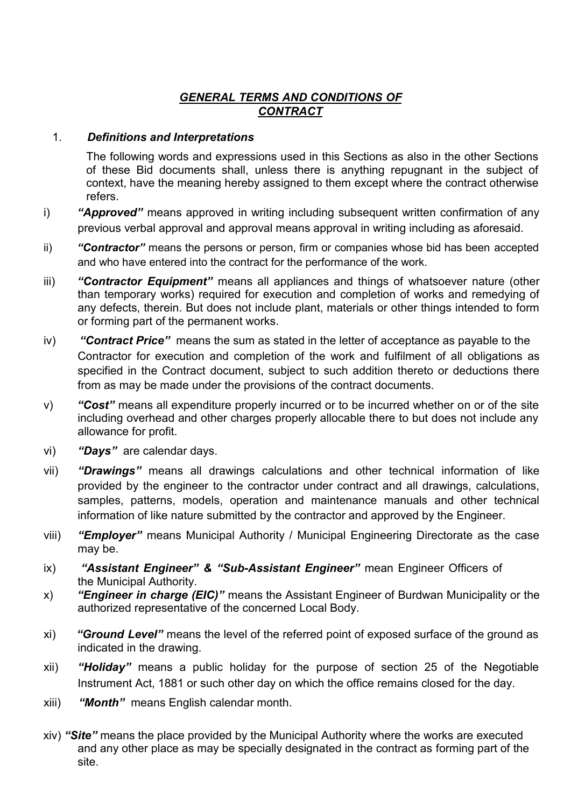# *GENERAL TERMS AND CONDITIONS OF CONTRACT*

### 1. *Definitions and Interpretations*

The following words and expressions used in this Sections as also in the other Sections of these Bid documents shall, unless there is anything repugnant in the subject of context, have the meaning hereby assigned to them except where the contract otherwise refers.

- i) **"Approved"** means approved in writing including subsequent written confirmation of any previous verbal approval and approval means approval in writing including as aforesaid.
- ii) *"Contractor"* means the persons or person, firm or companies whose bid has been accepted and who have entered into the contract for the performance of the work.
- iii) *"Contractor Equipment"* means all appliances and things of whatsoever nature (other than temporary works) required for execution and completion of works and remedying of any defects, therein. But does not include plant, materials or other things intended to form or forming part of the permanent works.
- iv) *"Contract Price"* means the sum as stated in the letter of acceptance as payable to the Contractor for execution and completion of the work and fulfilment of all obligations as specified in the Contract document, subject to such addition thereto or deductions there from as may be made under the provisions of the contract documents.
- v) *"Cost"* means all expenditure properly incurred or to be incurred whether on or of the site including overhead and other charges properly allocable there to but does not include any allowance for profit.
- vi) *"Days"* are calendar days.
- vii) *"Drawings"* means all drawings calculations and other technical information of like provided by the engineer to the contractor under contract and all drawings, calculations, samples, patterns, models, operation and maintenance manuals and other technical information of like nature submitted by the contractor and approved by the Engineer.
- viii) *"Employer"* means Municipal Authority / Municipal Engineering Directorate as the case may be.
- ix) *"Assistant Engineer" & "Sub-Assistant Engineer"* mean Engineer Officers of the Municipal Authority.
- x) *"Engineer in charge (EIC)"* means the Assistant Engineer of Burdwan Municipality or the authorized representative of the concerned Local Body.
- xi) *"Ground Level"* means the level of the referred point of exposed surface of the ground as indicated in the drawing.
- xii) *"Holiday"* means a public holiday for the purpose of section 25 of the Negotiable Instrument Act, 1881 or such other day on which the office remains closed for the day.
- xiii) *"Month"* means English calendar month.
- xiv) *"Site"* means the place provided by the Municipal Authority where the works are executed and any other place as may be specially designated in the contract as forming part of the site.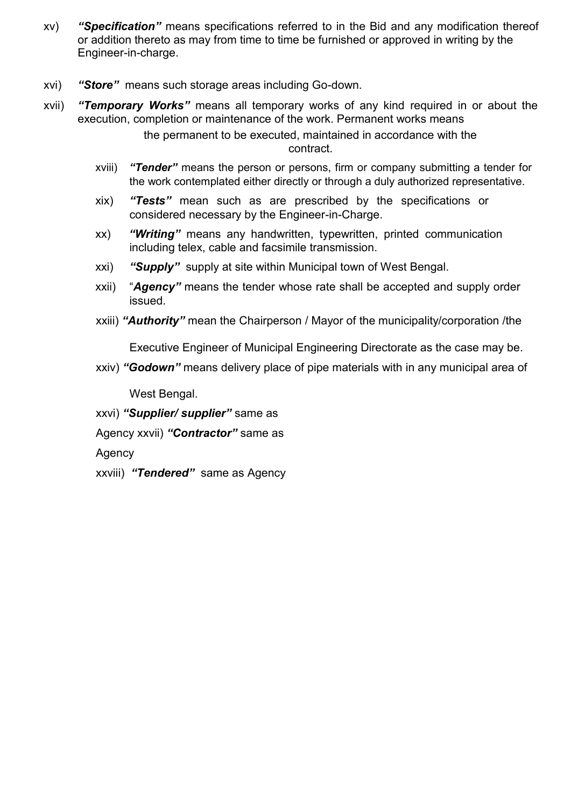- xv) *"Specification"* means specifications referred to in the Bid and any modification thereof or addition thereto as may from time to time be furnished or approved in writing by the Engineer-in-charge.
- xvi) *"Store"* means such storage areas including Go-down.
- xvii) *"Temporary Works"* means all temporary works of any kind required in or about the execution, completion or maintenance of the work. Permanent works means

the permanent to be executed, maintained in accordance with the contract.

- xviii) *"Tender"* means the person or persons, firm or company submitting a tender for the work contemplated either directly or through a duly authorized representative.
- xix) *"Tests"* mean such as are prescribed by the specifications or considered necessary by the Engineer-in-Charge.
- xx) *"Writing"* means any handwritten, typewritten, printed communication including telex, cable and facsimile transmission.
- xxi) *"Supply"* supply at site within Municipal town of West Bengal.
- xxii) "*Agency"* means the tender whose rate shall be accepted and supply order issued.
- xxiii) *"Authority"* mean the Chairperson / Mayor of the municipality/corporation /the

Executive Engineer of Municipal Engineering Directorate as the case may be.

xxiv) *"Godown"* means delivery place of pipe materials with in any municipal area of

West Bengal.

xxvi) *"Supplier/ supplier"* same as

Agency xxvii) *"Contractor"* same as

Agency

xxviii) *"Tendered"* same as Agency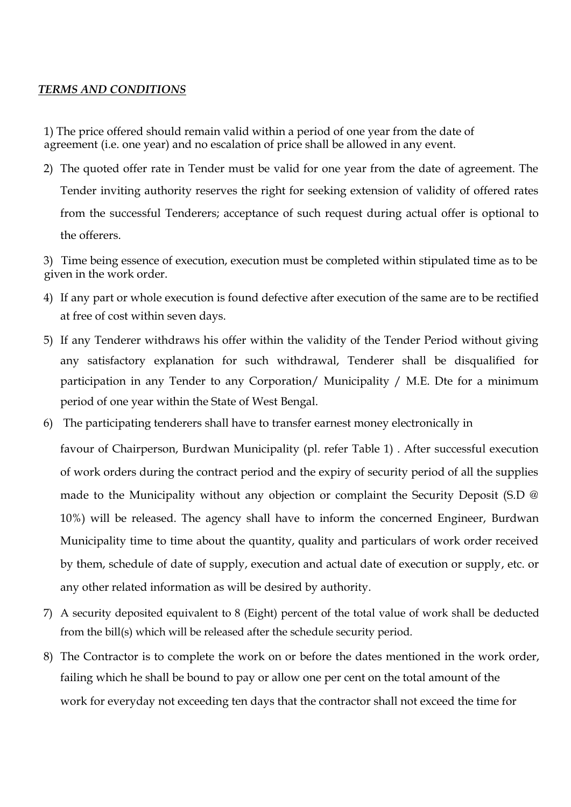### *TERMS AND CONDITIONS*

1) The price offered should remain valid within a period of one year from the date of agreement (i.e. one year) and no escalation of price shall be allowed in any event.

2) The quoted offer rate in Tender must be valid for one year from the date of agreement. The Tender inviting authority reserves the right for seeking extension of validity of offered rates from the successful Tenderers; acceptance of such request during actual offer is optional to the offerers.

3) Time being essence of execution, execution must be completed within stipulated time as to be given in the work order.

- 4) If any part or whole execution is found defective after execution of the same are to be rectified at free of cost within seven days.
- 5) If any Tenderer withdraws his offer within the validity of the Tender Period without giving any satisfactory explanation for such withdrawal, Tenderer shall be disqualified for participation in any Tender to any Corporation/ Municipality / M.E. Dte for a minimum period of one year within the State of West Bengal.
- 6) The participating tenderers shall have to transfer earnest money electronically in

favour of Chairperson, Burdwan Municipality (pl. refer Table 1) . After successful execution of work orders during the contract period and the expiry of security period of all the supplies made to the Municipality without any objection or complaint the Security Deposit (S.D @ 10%) will be released. The agency shall have to inform the concerned Engineer, Burdwan Municipality time to time about the quantity, quality and particulars of work order received by them, schedule of date of supply, execution and actual date of execution or supply, etc. or any other related information as will be desired by authority.

- 7) A security deposited equivalent to 8 (Eight) percent of the total value of work shall be deducted from the bill(s) which will be released after the schedule security period.
- 8) The Contractor is to complete the work on or before the dates mentioned in the work order, failing which he shall be bound to pay or allow one per cent on the total amount of the work for everyday not exceeding ten days that the contractor shall not exceed the time for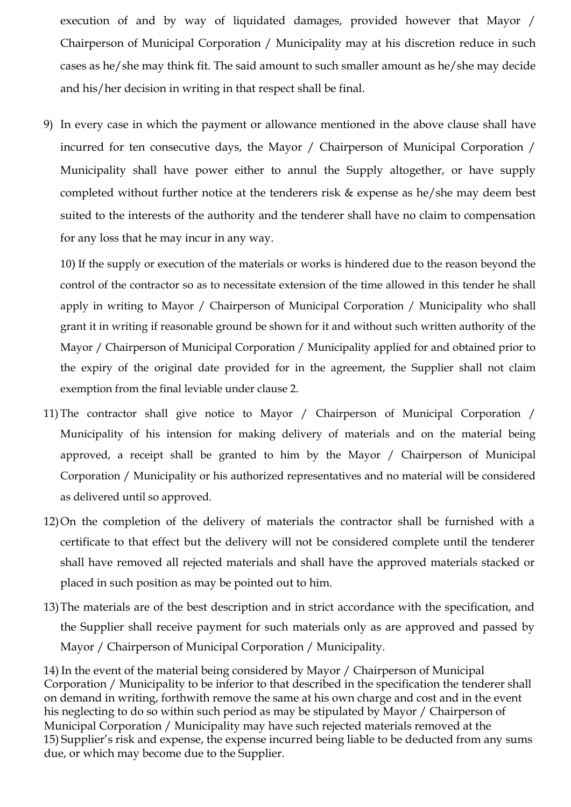execution of and by way of liquidated damages, provided however that Mayor / Chairperson of Municipal Corporation / Municipality may at his discretion reduce in such cases as he/she may think fit. The said amount to such smaller amount as he/she may decide and his/her decision in writing in that respect shall be final.

9) In every case in which the payment or allowance mentioned in the above clause shall have incurred for ten consecutive days, the Mayor / Chairperson of Municipal Corporation / Municipality shall have power either to annul the Supply altogether, or have supply completed without further notice at the tenderers risk & expense as he/she may deem best suited to the interests of the authority and the tenderer shall have no claim to compensation for any loss that he may incur in any way.

10) If the supply or execution of the materials or works is hindered due to the reason beyond the control of the contractor so as to necessitate extension of the time allowed in this tender he shall apply in writing to Mayor / Chairperson of Municipal Corporation / Municipality who shall grant it in writing if reasonable ground be shown for it and without such written authority of the Mayor / Chairperson of Municipal Corporation / Municipality applied for and obtained prior to the expiry of the original date provided for in the agreement, the Supplier shall not claim exemption from the final leviable under clause 2.

- 11) The contractor shall give notice to Mayor / Chairperson of Municipal Corporation / Municipality of his intension for making delivery of materials and on the material being approved, a receipt shall be granted to him by the Mayor / Chairperson of Municipal Corporation / Municipality or his authorized representatives and no material will be considered as delivered until so approved.
- 12)On the completion of the delivery of materials the contractor shall be furnished with a certificate to that effect but the delivery will not be considered complete until the tenderer shall have removed all rejected materials and shall have the approved materials stacked or placed in such position as may be pointed out to him.
- 13)The materials are of the best description and in strict accordance with the specification, and the Supplier shall receive payment for such materials only as are approved and passed by Mayor / Chairperson of Municipal Corporation / Municipality.

14) In the event of the material being considered by Mayor / Chairperson of Municipal Corporation / Municipality to be inferior to that described in the specification the tenderer shall on demand in writing, forthwith remove the same at his own charge and cost and in the event his neglecting to do so within such period as may be stipulated by Mayor / Chairperson of Municipal Corporation / Municipality may have such rejected materials removed at the 15) Supplier's risk and expense, the expense incurred being liable to be deducted from any sums due, or which may become due to the Supplier.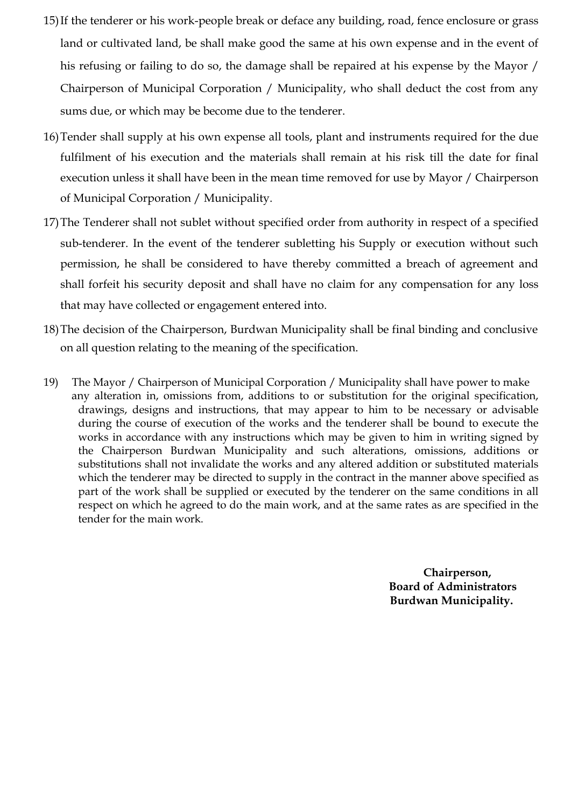- 15)If the tenderer or his work-people break or deface any building, road, fence enclosure or grass land or cultivated land, be shall make good the same at his own expense and in the event of his refusing or failing to do so, the damage shall be repaired at his expense by the Mayor / Chairperson of Municipal Corporation / Municipality, who shall deduct the cost from any sums due, or which may be become due to the tenderer.
- 16)Tender shall supply at his own expense all tools, plant and instruments required for the due fulfilment of his execution and the materials shall remain at his risk till the date for final execution unless it shall have been in the mean time removed for use by Mayor / Chairperson of Municipal Corporation / Municipality.
- 17)The Tenderer shall not sublet without specified order from authority in respect of a specified sub-tenderer. In the event of the tenderer subletting his Supply or execution without such permission, he shall be considered to have thereby committed a breach of agreement and shall forfeit his security deposit and shall have no claim for any compensation for any loss that may have collected or engagement entered into.
- 18)The decision of the Chairperson, Burdwan Municipality shall be final binding and conclusive on all question relating to the meaning of the specification.
- 19) The Mayor / Chairperson of Municipal Corporation / Municipality shall have power to make any alteration in, omissions from, additions to or substitution for the original specification, drawings, designs and instructions, that may appear to him to be necessary or advisable during the course of execution of the works and the tenderer shall be bound to execute the works in accordance with any instructions which may be given to him in writing signed by the Chairperson Burdwan Municipality and such alterations, omissions, additions or substitutions shall not invalidate the works and any altered addition or substituted materials which the tenderer may be directed to supply in the contract in the manner above specified as part of the work shall be supplied or executed by the tenderer on the same conditions in all respect on which he agreed to do the main work, and at the same rates as are specified in the tender for the main work.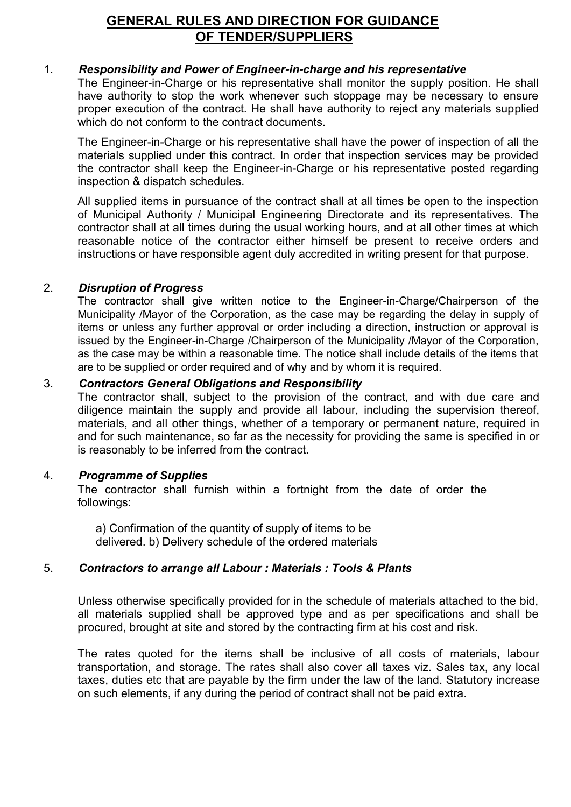# **GENERAL RULES AND DIRECTION FOR GUIDANCE OF TENDER/SUPPLIERS**

### 1. *Responsibility and Power of Engineer-in-charge and his representative*

The Engineer-in-Charge or his representative shall monitor the supply position. He shall have authority to stop the work whenever such stoppage may be necessary to ensure proper execution of the contract. He shall have authority to reject any materials supplied which do not conform to the contract documents.

The Engineer-in-Charge or his representative shall have the power of inspection of all the materials supplied under this contract. In order that inspection services may be provided the contractor shall keep the Engineer-in-Charge or his representative posted regarding inspection & dispatch schedules.

All supplied items in pursuance of the contract shall at all times be open to the inspection of Municipal Authority / Municipal Engineering Directorate and its representatives. The contractor shall at all times during the usual working hours, and at all other times at which reasonable notice of the contractor either himself be present to receive orders and instructions or have responsible agent duly accredited in writing present for that purpose.

#### 2. *Disruption of Progress*

The contractor shall give written notice to the Engineer-in-Charge/Chairperson of the Municipality /Mayor of the Corporation, as the case may be regarding the delay in supply of items or unless any further approval or order including a direction, instruction or approval is issued by the Engineer-in-Charge /Chairperson of the Municipality /Mayor of the Corporation, as the case may be within a reasonable time. The notice shall include details of the items that are to be supplied or order required and of why and by whom it is required.

#### 3. *Contractors General Obligations and Responsibility*

The contractor shall, subject to the provision of the contract, and with due care and diligence maintain the supply and provide all labour, including the supervision thereof, materials, and all other things, whether of a temporary or permanent nature, required in and for such maintenance, so far as the necessity for providing the same is specified in or is reasonably to be inferred from the contract.

#### 4. *Programme of Supplies*

The contractor shall furnish within a fortnight from the date of order the followings:

a) Confirmation of the quantity of supply of items to be delivered. b) Delivery schedule of the ordered materials

# 5. *Contractors to arrange all Labour : Materials : Tools & Plants*

Unless otherwise specifically provided for in the schedule of materials attached to the bid, all materials supplied shall be approved type and as per specifications and shall be procured, brought at site and stored by the contracting firm at his cost and risk.

The rates quoted for the items shall be inclusive of all costs of materials, labour transportation, and storage. The rates shall also cover all taxes viz. Sales tax, any local taxes, duties etc that are payable by the firm under the law of the land. Statutory increase on such elements, if any during the period of contract shall not be paid extra.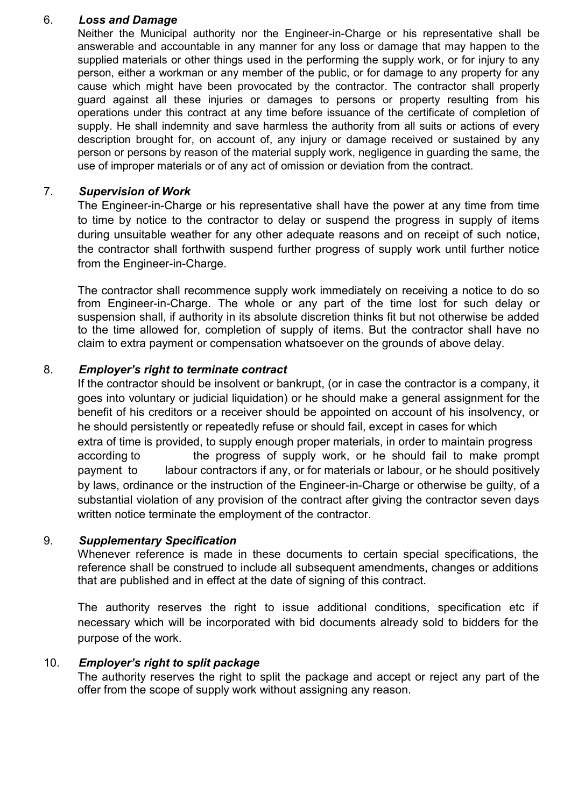#### 6. *Loss and Damage*

Neither the Municipal authority nor the Engineer-in-Charge or his representative shall be answerable and accountable in any manner for any loss or damage that may happen to the supplied materials or other things used in the performing the supply work, or for injury to any person, either a workman or any member of the public, or for damage to any property for any cause which might have been provocated by the contractor. The contractor shall properly guard against all these injuries or damages to persons or property resulting from his operations under this contract at any time before issuance of the certificate of completion of supply. He shall indemnity and save harmless the authority from all suits or actions of every description brought for, on account of, any injury or damage received or sustained by any person or persons by reason of the material supply work, negligence in guarding the same, the use of improper materials or of any act of omission or deviation from the contract.

#### 7. *Supervision of Work*

The Engineer-in-Charge or his representative shall have the power at any time from time to time by notice to the contractor to delay or suspend the progress in supply of items during unsuitable weather for any other adequate reasons and on receipt of such notice, the contractor shall forthwith suspend further progress of supply work until further notice from the Engineer-in-Charge.

The contractor shall recommence supply work immediately on receiving a notice to do so from Engineer-in-Charge. The whole or any part of the time lost for such delay or suspension shall, if authority in its absolute discretion thinks fit but not otherwise be added to the time allowed for, completion of supply of items. But the contractor shall have no claim to extra payment or compensation whatsoever on the grounds of above delay.

#### 8. *Employer's right to terminate contract*

If the contractor should be insolvent or bankrupt, (or in case the contractor is a company, it goes into voluntary or judicial liquidation) or he should make a general assignment for the benefit of his creditors or a receiver should be appointed on account of his insolvency, or he should persistently or repeatedly refuse or should fail, except in cases for which extra of time is provided, to supply enough proper materials, in order to maintain progress according to the progress of supply work, or he should fail to make prompt payment to labour contractors if any, or for materials or labour, or he should positively by laws, ordinance or the instruction of the Engineer-in-Charge or otherwise be guilty, of a substantial violation of any provision of the contract after giving the contractor seven days written notice terminate the employment of the contractor.

#### 9. *Supplementary Specification*

Whenever reference is made in these documents to certain special specifications, the reference shall be construed to include all subsequent amendments, changes or additions that are published and in effect at the date of signing of this contract.

The authority reserves the right to issue additional conditions, specification etc if necessary which will be incorporated with bid documents already sold to bidders for the purpose of the work.

#### 10. *Employer's right to split package*

The authority reserves the right to split the package and accept or reject any part of the offer from the scope of supply work without assigning any reason.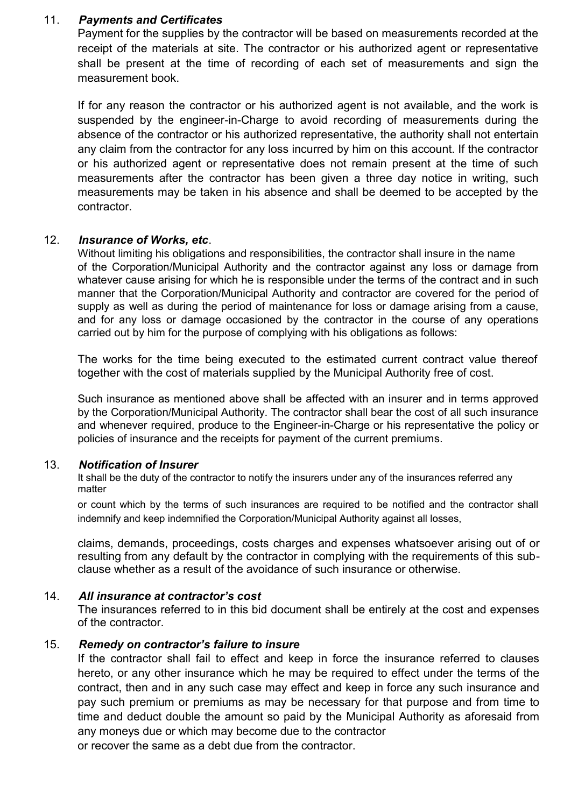#### 11. *Payments and Certificates*

Payment for the supplies by the contractor will be based on measurements recorded at the receipt of the materials at site. The contractor or his authorized agent or representative shall be present at the time of recording of each set of measurements and sign the measurement book.

If for any reason the contractor or his authorized agent is not available, and the work is suspended by the engineer-in-Charge to avoid recording of measurements during the absence of the contractor or his authorized representative, the authority shall not entertain any claim from the contractor for any loss incurred by him on this account. If the contractor or his authorized agent or representative does not remain present at the time of such measurements after the contractor has been given a three day notice in writing, such measurements may be taken in his absence and shall be deemed to be accepted by the contractor.

#### 12. *Insurance of Works, etc*.

Without limiting his obligations and responsibilities, the contractor shall insure in the name of the Corporation/Municipal Authority and the contractor against any loss or damage from whatever cause arising for which he is responsible under the terms of the contract and in such manner that the Corporation/Municipal Authority and contractor are covered for the period of supply as well as during the period of maintenance for loss or damage arising from a cause, and for any loss or damage occasioned by the contractor in the course of any operations carried out by him for the purpose of complying with his obligations as follows:

The works for the time being executed to the estimated current contract value thereof together with the cost of materials supplied by the Municipal Authority free of cost.

Such insurance as mentioned above shall be affected with an insurer and in terms approved by the Corporation/Municipal Authority. The contractor shall bear the cost of all such insurance and whenever required, produce to the Engineer-in-Charge or his representative the policy or policies of insurance and the receipts for payment of the current premiums.

#### 13. *Notification of Insurer*

It shall be the duty of the contractor to notify the insurers under any of the insurances referred any matter

or count which by the terms of such insurances are required to be notified and the contractor shall indemnify and keep indemnified the Corporation/Municipal Authority against all losses,

claims, demands, proceedings, costs charges and expenses whatsoever arising out of or resulting from any default by the contractor in complying with the requirements of this sub clause whether as a result of the avoidance of such insurance or otherwise.

#### 14. *All insurance at contractor's cost*

The insurances referred to in this bid document shall be entirely at the cost and expenses of the contractor.

#### 15. *Remedy on contractor's failure to insure*

If the contractor shall fail to effect and keep in force the insurance referred to clauses hereto, or any other insurance which he may be required to effect under the terms of the contract, then and in any such case may effect and keep in force any such insurance and pay such premium or premiums as may be necessary for that purpose and from time to time and deduct double the amount so paid by the Municipal Authority as aforesaid from any moneys due or which may become due to the contractor

or recover the same as a debt due from the contractor.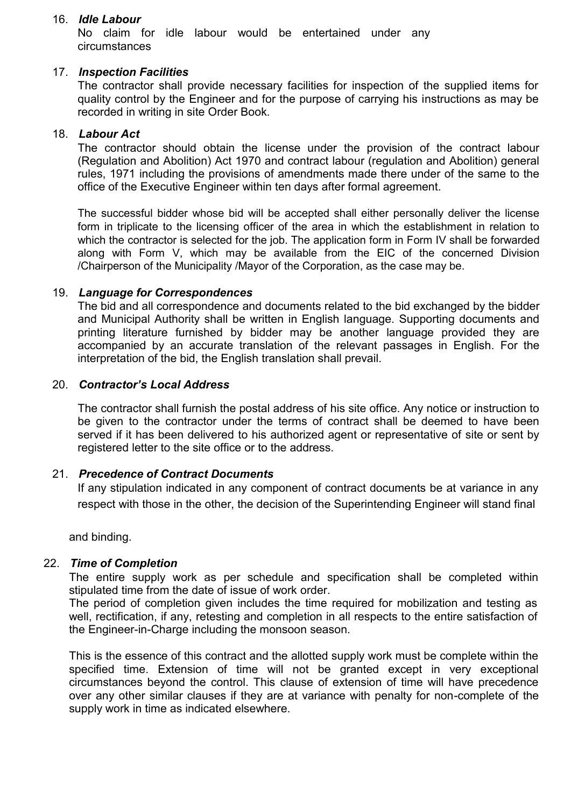#### 16. *Idle Labour*

No claim for idle labour would be entertained under any circumstances

#### 17. *Inspection Facilities*

The contractor shall provide necessary facilities for inspection of the supplied items for quality control by the Engineer and for the purpose of carrying his instructions as may be recorded in writing in site Order Book.

#### 18. *Labour Act*

The contractor should obtain the license under the provision of the contract labour (Regulation and Abolition) Act 1970 and contract labour (regulation and Abolition) general rules, 1971 including the provisions of amendments made there under of the same to the office of the Executive Engineer within ten days after formal agreement.

The successful bidder whose bid will be accepted shall either personally deliver the license form in triplicate to the licensing officer of the area in which the establishment in relation to which the contractor is selected for the job. The application form in Form IV shall be forwarded along with Form V, which may be available from the EIC of the concerned Division /Chairperson of the Municipality /Mayor of the Corporation, as the case may be.

#### 19. *Language for Correspondences*

The bid and all correspondence and documents related to the bid exchanged by the bidder and Municipal Authority shall be written in English language. Supporting documents and printing literature furnished by bidder may be another language provided they are accompanied by an accurate translation of the relevant passages in English. For the interpretation of the bid, the English translation shall prevail.

#### 20. *Contractor's Local Address*

The contractor shall furnish the postal address of his site office. Any notice or instruction to be given to the contractor under the terms of contract shall be deemed to have been served if it has been delivered to his authorized agent or representative of site or sent by registered letter to the site office or to the address.

#### 21. *Precedence of Contract Documents*

If any stipulation indicated in any component of contract documents be at variance in any respect with those in the other, the decision of the Superintending Engineer will stand final

and binding.

#### 22. *Time of Completion*

The entire supply work as per schedule and specification shall be completed within stipulated time from the date of issue of work order.

The period of completion given includes the time required for mobilization and testing as well, rectification, if any, retesting and completion in all respects to the entire satisfaction of the Engineer-in-Charge including the monsoon season.

This is the essence of this contract and the allotted supply work must be complete within the specified time. Extension of time will not be granted except in very exceptional circumstances beyond the control. This clause of extension of time will have precedence over any other similar clauses if they are at variance with penalty for non-complete of the supply work in time as indicated elsewhere.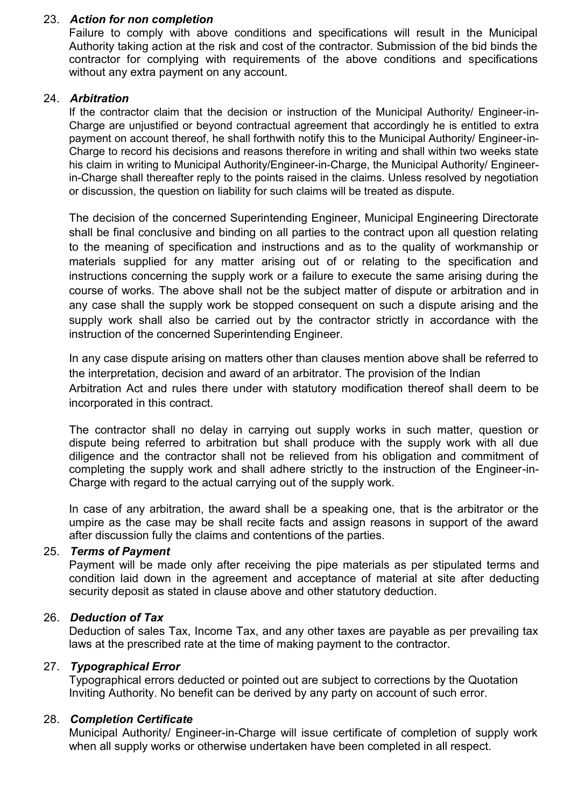### 23. *Action for non completion*

Failure to comply with above conditions and specifications will result in the Municipal Authority taking action at the risk and cost of the contractor. Submission of the bid binds the contractor for complying with requirements of the above conditions and specifications without any extra payment on any account.

### 24. *Arbitration*

If the contractor claim that the decision or instruction of the Municipal Authority/ Engineer-in- Charge are unjustified or beyond contractual agreement that accordingly he is entitled to extra payment on account thereof, he shall forthwith notify this to the Municipal Authority/ Engineer-in- Charge to record his decisions and reasons therefore in writing and shall within two weeks state his claim in writing to Municipal Authority/Engineer-in-Charge, the Municipal Authority/ Engineerin-Charge shall thereafter reply to the points raised in the claims. Unless resolved by negotiation or discussion, the question on liability for such claims will be treated as dispute.

The decision of the concerned Superintending Engineer, Municipal Engineering Directorate shall be final conclusive and binding on all parties to the contract upon all question relating to the meaning of specification and instructions and as to the quality of workmanship or materials supplied for any matter arising out of or relating to the specification and instructions concerning the supply work or a failure to execute the same arising during the course of works. The above shall not be the subject matter of dispute or arbitration and in any case shall the supply work be stopped consequent on such a dispute arising and the supply work shall also be carried out by the contractor strictly in accordance with the instruction of the concerned Superintending Engineer.

In any case dispute arising on matters other than clauses mention above shall be referred to the interpretation, decision and award of an arbitrator. The provision of the Indian Arbitration Act and rules there under with statutory modification thereof shall deem to be incorporated in this contract.

The contractor shall no delay in carrying out supply works in such matter, question or dispute being referred to arbitration but shall produce with the supply work with all due diligence and the contractor shall not be relieved from his obligation and commitment of completing the supply work and shall adhere strictly to the instruction of the Engineer-in- Charge with regard to the actual carrying out of the supply work.

In case of any arbitration, the award shall be a speaking one, that is the arbitrator or the umpire as the case may be shall recite facts and assign reasons in support of the award after discussion fully the claims and contentions of the parties.

### 25. *Terms of Payment*

Payment will be made only after receiving the pipe materials as per stipulated terms and condition laid down in the agreement and acceptance of material at site after deducting security deposit as stated in clause above and other statutory deduction.

# 26. *Deduction of Tax*

Deduction of sales Tax, Income Tax, and any other taxes are payable as per prevailing tax laws at the prescribed rate at the time of making payment to the contractor.

#### 27. *Typographical Error*

Typographical errors deducted or pointed out are subject to corrections by the Quotation Inviting Authority. No benefit can be derived by any party on account of such error.

#### 28. *Completion Certificate*

Municipal Authority/ Engineer-in-Charge will issue certificate of completion of supply work when all supply works or otherwise undertaken have been completed in all respect.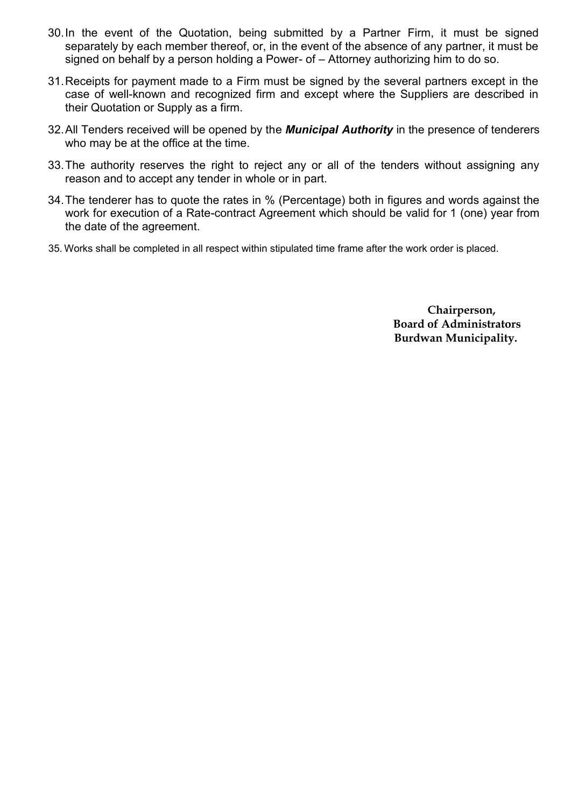- 30.In the event of the Quotation, being submitted by a Partner Firm, it must be signed separately by each member thereof, or, in the event of the absence of any partner, it must be signed on behalf by a person holding a Power- of – Attorney authorizing him to do so.
- 31.Receipts for payment made to a Firm must be signed by the several partners except in the case of well-known and recognized firm and except where the Suppliers are described in their Quotation or Supply as a firm.
- 32.All Tenders received will be opened by the *Municipal Authority* in the presence of tenderers who may be at the office at the time.
- 33.The authority reserves the right to reject any or all of the tenders without assigning any reason and to accept any tender in whole or in part.
- 34.The tenderer has to quote the rates in % (Percentage) both in figures and words against the work for execution of a Rate-contract Agreement which should be valid for 1 (one) year from the date of the agreement.
- 35. Works shall be completed in all respect within stipulated time frame after the work order is placed.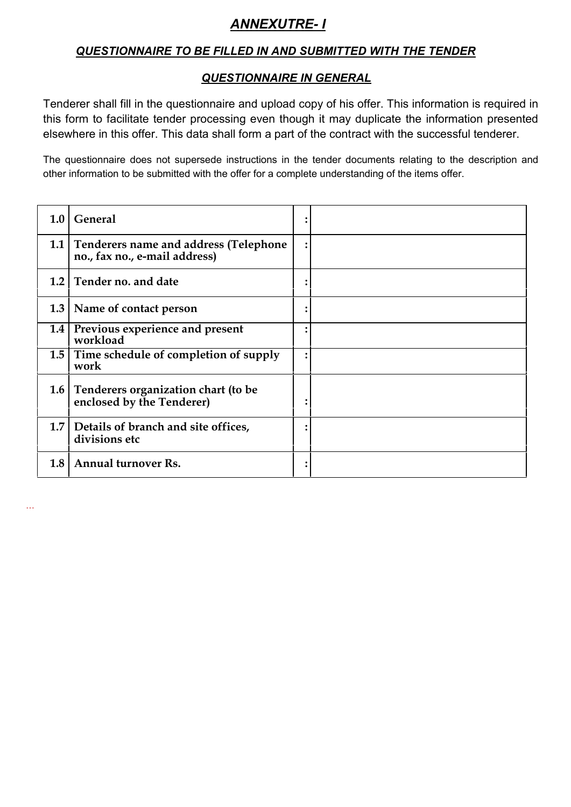# *ANNEXUTRE- I*

# *QUESTIONNAIRE TO BE FILLED IN AND SUBMITTED WITH THE TENDER*

# *QUESTIONNAIRE IN GENERAL*

Tenderer shall fill in the questionnaire and upload copy of his offer. This information is required in this form to facilitate tender processing even though it may duplicate the information presented elsewhere in this offer. This data shall form a part of the contract with the successful tenderer.

The questionnaire does not supersede instructions in the tender documents relating to the description and other information to be submitted with the offer for a complete understanding of the items offer.

| 1.0 <sub>1</sub> | <b>General</b>                                                             |  |
|------------------|----------------------------------------------------------------------------|--|
|                  | 1.1 Tenderers name and address (Telephone<br>no., fax no., e-mail address) |  |
|                  | 1.2 Tender no. and date                                                    |  |
|                  | 1.3   Name of contact person                                               |  |
|                  | 1.4 Previous experience and present<br>workload                            |  |
|                  | 1.5 Time schedule of completion of supply<br>work                          |  |
|                  | 1.6 Tenderers organization chart (to be<br>enclosed by the Tenderer)       |  |
|                  | 1.7 Details of branch and site offices,<br>divisions etc                   |  |
| 1.8              | <b>Annual turnover Rs.</b>                                                 |  |

…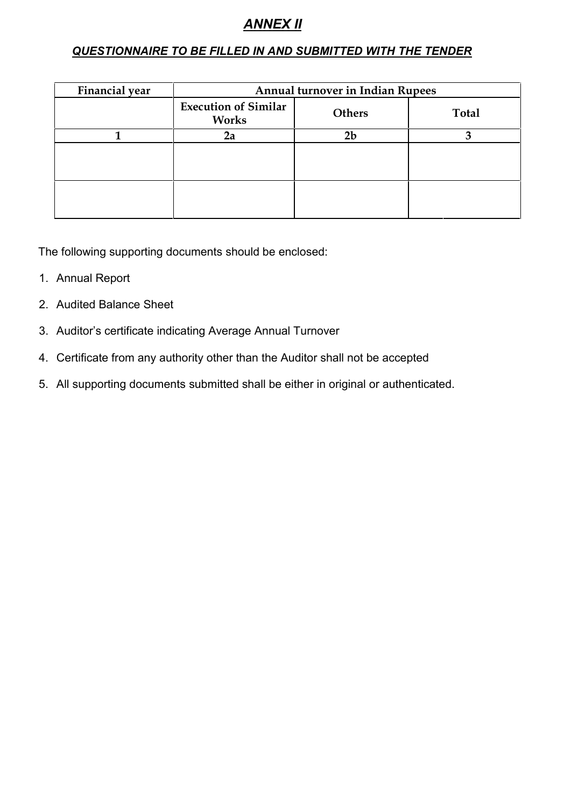# *ANNEX II*

### *QUESTIONNAIRE TO BE FILLED IN AND SUBMITTED WITH THE TENDER*

| Financial year | <b>Annual turnover in Indian Rupees</b> |                |              |  |  |  |
|----------------|-----------------------------------------|----------------|--------------|--|--|--|
|                | <b>Execution of Similar</b><br>Works    | <b>Others</b>  | <b>Total</b> |  |  |  |
|                | 2a                                      | 2 <sub>b</sub> |              |  |  |  |
|                |                                         |                |              |  |  |  |
|                |                                         |                |              |  |  |  |

The following supporting documents should be enclosed:

- 1. Annual Report
- 2. Audited Balance Sheet
- 3. Auditor's certificate indicating Average Annual Turnover
- 4. Certificate from any authority other than the Auditor shall not be accepted
- 5. All supporting documents submitted shall be either in original or authenticated.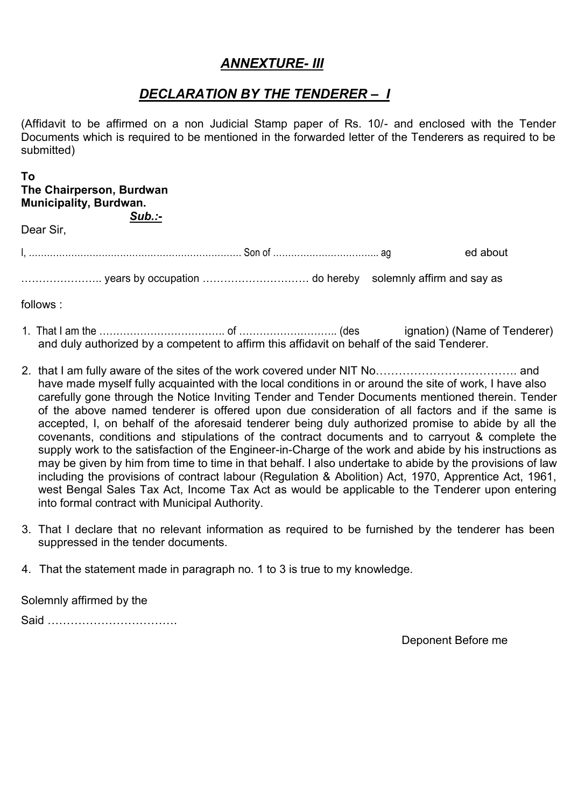# *ANNEXTURE- III*

# *DECLARATION BY THE TENDERER – I*

(Affidavit to be affirmed on a non Judicial Stamp paper of Rs. 10/- and enclosed with the Tender Documents which is required to be mentioned in the forwarded letter of the Tenderers as required to be submitted)

#### **To The Chairperson, Burdwan Municipality, Burdwan.** *Sub.:-*

Dear Sir,

I, ……………………………………………………………. Son of …………………………….. ag ed about

………………….. years by occupation ………………………… do hereby solemnly affirm and say as

follows :

- 1. That I am the ………………………………………………………………………………… (des ignation) (Name of Tenderer) and duly authorized by a competent to affirm this affidavit on behalf of the said Tenderer.
- 2. that I am fully aware of the sites of the work covered under NIT No………………………………. and have made myself fully acquainted with the local conditions in or around the site of work, I have also carefully gone through the Notice Inviting Tender and Tender Documents mentioned therein. Tender of the above named tenderer is offered upon due consideration of all factors and if the same is accepted, I, on behalf of the aforesaid tenderer being duly authorized promise to abide by all the covenants, conditions and stipulations of the contract documents and to carryout & complete the supply work to the satisfaction of the Engineer-in-Charge of the work and abide by his instructions as may be given by him from time to time in that behalf. I also undertake to abide by the provisions of law including the provisions of contract labour (Regulation & Abolition) Act, 1970, Apprentice Act, 1961, west Bengal Sales Tax Act, Income Tax Act as would be applicable to the Tenderer upon entering into formal contract with Municipal Authority.
- 3. That I declare that no relevant information as required to be furnished by the tenderer has been suppressed in the tender documents.
- 4. That the statement made in paragraph no. 1 to 3 is true to my knowledge.

Solemnly affirmed by the

Said …………………………….

Deponent Before me